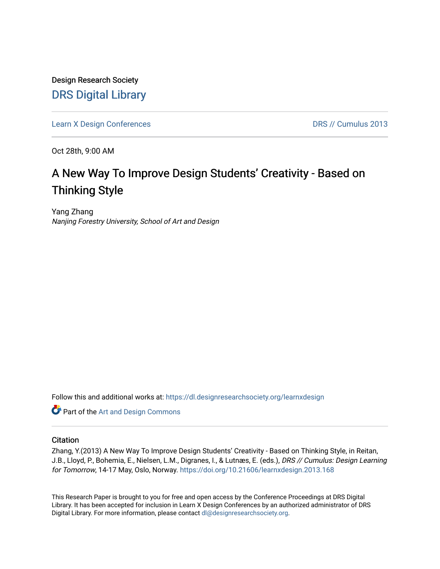Design Research Society [DRS Digital Library](https://dl.designresearchsociety.org/)

[Learn X Design Conferences](https://dl.designresearchsociety.org/learnxdesign) **DRS // Cumulus 2013** 

Oct 28th, 9:00 AM

# A New Way To Improve Design Students' Creativity - Based on Thinking Style

Yang Zhang Nanjing Forestry University, School of Art and Design

Follow this and additional works at: [https://dl.designresearchsociety.org/learnxdesign](https://dl.designresearchsociety.org/learnxdesign?utm_source=dl.designresearchsociety.org%2Flearnxdesign%2Flearnxdesign2013%2Fresearchpapers%2F165&utm_medium=PDF&utm_campaign=PDFCoverPages)

**Part of the [Art and Design Commons](http://network.bepress.com/hgg/discipline/1049?utm_source=dl.designresearchsociety.org%2Flearnxdesign%2Flearnxdesign2013%2Fresearchpapers%2F165&utm_medium=PDF&utm_campaign=PDFCoverPages)** 

## **Citation**

Zhang, Y.(2013) A New Way To Improve Design Students' Creativity - Based on Thinking Style, in Reitan, J.B., Lloyd, P., Bohemia, E., Nielsen, L.M., Digranes, I., & Lutnæs, E. (eds.), DRS // Cumulus: Design Learning for Tomorrow, 14-17 May, Oslo, Norway. <https://doi.org/10.21606/learnxdesign.2013.168>

This Research Paper is brought to you for free and open access by the Conference Proceedings at DRS Digital Library. It has been accepted for inclusion in Learn X Design Conferences by an authorized administrator of DRS Digital Library. For more information, please contact [dl@designresearchsociety.org](mailto:dl@designresearchsociety.org).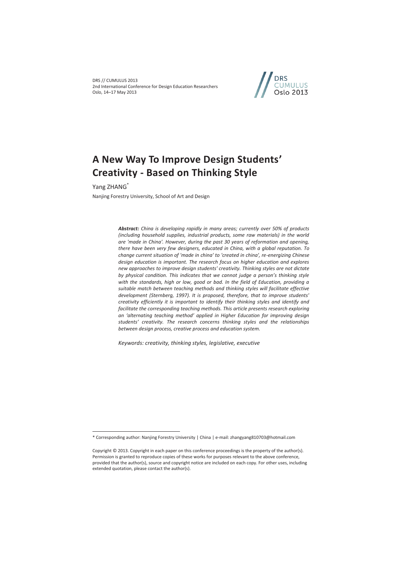DRS // CUMULUS 2013 2nd International Conference for Design Education Researchers Oslo, 14–17 May 2013



# **A New Way To Improve Design Students' Creativity - Based on Thinking Style**

Yang ZHANG<sup>\*</sup>

 $\overline{a}$ 

Nanjing Forestry University, School of Art and Design

*Abstract: China is developing rapidly in many areas; currently over 50% of products (including household supplies, industrial products, some raw materials) in the world are 'made in China'. However, during the past 30 years of reformation and opening, there have been very few designers, educated in China, with a global reputation. To change current situation of 'made in china' to 'created in china', re-energizing Chinese design education is important. The research focus on higher education and explores new approaches to improve design students' creativity. Thinking styles are not dictate by physical condition. This indicates that we cannot judge a person's thinking style with the standards, high or low, good or bad. In the field of Education, providing a suitable match between teaching methods and thinking styles will facilitate effective development (Sternberg, 1997). It is proposed, therefore, that to improve students' creativity efficiently it is important to identify their thinking styles and identify and facilitate the corresponding teaching methods. This article presents research exploring an 'alternating teaching method' applied in Higher Education for improving design students' creativity. The research concerns thinking styles and the relationships between design process, creative process and education system.* 

*Keywords: creativity, thinking styles, legislative, executive* 

<sup>\*</sup> Corresponding author: Nanjing Forestry University | China | e-mail: zhangyang810703@hotmail.com

Copyright © 2013. Copyright in each paper on this conference proceedings is the property of the author(s). Permission is granted to reproduce copies of these works for purposes relevant to the above conference, provided that the author(s), source and copyright notice are included on each copy. For other uses, including extended quotation, please contact the author(s).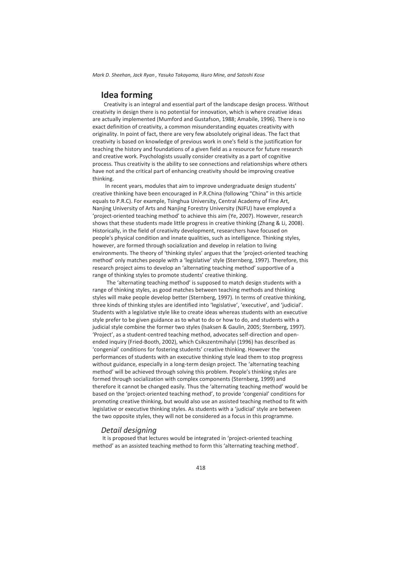# **Idea forming**

 Creativity is an integral and essential part of the landscape design process. Without creativity in design there is no potential for innovation, which is where creative ideas are actually implemented (Mumford and Gustafson, 1988; Amabile, 1996). There is no exact definition of creativity, a common misunderstanding equates creativity with originality. In point of fact, there are very few absolutely original ideas. The fact that creativity is based on knowledge of previous work in one's field is the justification for teaching the history and foundations of a given field as a resource for future research and creative work. Psychologists usually consider creativity as a part of cognitive process. Thus creativity is the ability to see connections and relationships where others have not and the critical part of enhancing creativity should be improving creative thinking.

 In recent years, modules that aim to improve undergraduate design students' creative thinking have been encouraged in P.R.China (following "China" in this article equals to P.R.C). For example, Tsinghua University, Central Academy of Fine Art, Nanjing University of Arts and Nanjing Forestry University (NJFU) have employed a 'project-oriented teaching method' to achieve this aim (Ye, 2007). However, research shows that these students made little progress in creative thinking (Zhang & Li, 2008). Historically, in the field of creativity development, researchers have focused on people's physical condition and innate qualities, such as intelligence. Thinking styles, however, are formed through socialization and develop in relation to living environments. The theory of 'thinking styles' argues that the 'project-oriented teaching method' only matches people with a 'legislative' style (Sternberg, 1997). Therefore, this research project aims to develop an 'alternating teaching method' supportive of a range of thinking styles to promote students' creative thinking.

 The 'alternating teaching method' is supposed to match design students with a range of thinking styles, as good matches between teaching methods and thinking styles will make people develop better (Sternberg, 1997). In terms of creative thinking, three kinds of thinking styles are identified into 'legislative', 'executive', and 'judicial'. Students with a legislative style like to create ideas whereas students with an executive style prefer to be given guidance as to what to do or how to do, and students with a judicial style combine the former two styles (Isaksen & Gaulin, 2005; Sternberg, 1997). 'Project', as a student-centred teaching method, advocates self-direction and openended inquiry (Fried-Booth, 2002), which Csikszentmihalyi (1996) has described as 'congenial' conditions for fostering students' creative thinking. However the performances of students with an executive thinking style lead them to stop progress without guidance, especially in a long-term design project. The 'alternating teaching method' will be achieved through solving this problem. People's thinking styles are formed through socialization with complex components (Sternberg, 1999) and therefore it cannot be changed easily. Thus the 'alternating teaching method' would be based on the 'project-oriented teaching method', to provide 'congenial' conditions for promoting creative thinking, but would also use an assisted teaching method to fit with legislative or executive thinking styles. As students with a 'judicial' style are between the two opposite styles, they will not be considered as a focus in this programme.

#### *Detail designing*

 It is proposed that lectures would be integrated in 'project-oriented teaching method' as an assisted teaching method to form this 'alternating teaching method'.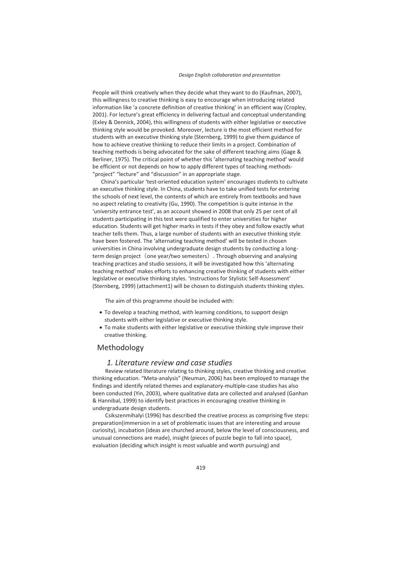People will think creatively when they decide what they want to do (Kaufman, 2007), this willingness to creative thinking is easy to encourage when introducing related information like 'a concrete definition of creative thinking' in an efficient way (Cropley, 2001). For lecture's great efficiency in delivering factual and conceptual understanding (Exley & Dennick, 2004), this willingness of students with either legislative or executive thinking style would be provoked. Moreover, lecture is the most efficient method for students with an executive thinking style (Sternberg, 1999) to give them guidance of how to achieve creative thinking to reduce their limits in a project. Combination of teaching methods is being advocated for the sake of different teaching aims (Gage & Berliner, 1975). The critical point of whether this 'alternating teaching method' would be efficient or not depends on how to apply different types of teaching methods- "project" "lecture" and "discussion" in an appropriate stage.

China's particular 'test-oriented education system' encourages students to cultivate an executive thinking style. In China, students have to take unified tests for entering the schools of next level, the contents of which are entirely from textbooks and have no aspect relating to creativity (Gu, 1990). The competition is quite intense in the 'university entrance test', as an account showed in 2008 that only 25 per cent of all students participating in this test were qualified to enter universities for higher education. Students will get higher marks in tests if they obey and follow exactly what teacher tells them. Thus, a large number of students with an executive thinking style have been fostered. The 'alternating teaching method' will be tested in chosen universities in China involving undergraduate design students by conducting a longterm design project (one year/two semesters). Through observing and analysing teaching practices and studio sessions, it will be investigated how this 'alternating teaching method' makes efforts to enhancing creative thinking of students with either legislative or executive thinking styles. 'Instructions for Stylistic Self-Assessment' (Sternberg, 1999) (attachment1) will be chosen to distinguish students thinking styles.

The aim of this programme should be included with:

- To develop a teaching method, with learning conditions, to support design students with either legislative or executive thinking style.
- To make students with either legislative or executive thinking style improve their creative thinking.

## Methodology

#### *1. Literature review and case studies*

 Review related literature relating to thinking styles, creative thinking and creative thinking education. "Meta-analysis" (Neuman, 2006) has been employed to manage the findings and identify related themes and explanatory-multiple-case studies has also been conducted (Yin, 2003), where qualitative data are collected and analysed (Ganhan & Hannibal, 1999) to identify best practices in encouraging creative thinking in undergraduate design students.

 Csikszenmihalyi (1996) has described the creative process as comprising five steps: preparation(immersion in a set of problematic issues that are interesting and arouse curiosity), incubation (ideas are churched around, below the level of consciousness, and unusual connections are made), insight (pieces of puzzle begin to fall into space), evaluation (deciding which insight is most valuable and worth pursuing) and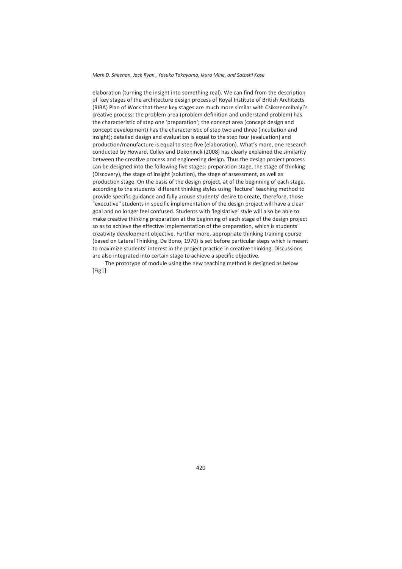elaboration (turning the insight into something real). We can find from the description of key stages of the architecture design process of Royal Institute of British Architects (RIBA) Plan of Work that these key stages are much more similar with Csikszenmihalyi's creative process: the problem area (problem definition and understand problem) has the characteristic of step one 'preparation'; the concept area (concept design and concept development) has the characteristic of step two and three (incubation and insight); detailed design and evaluation is equal to the step four (evaluation) and production/manufacture is equal to step five (elaboration). What's more, one research conducted by Howard, Culley and Dekoninck (2008) has clearly explained the similarity between the creative process and engineering design. Thus the design project process can be designed into the following five stages: preparation stage, the stage of thinking (Discovery), the stage of insight (solution), the stage of assessment, as well as production stage. On the basis of the design project, at of the beginning of each stage, according to the students' different thinking styles using "lecture" teaching method to provide specific guidance and fully arouse students' desire to create, therefore, those "executive" students in specific implementation of the design project will have a clear goal and no longer feel confused. Students with 'legislative' style will also be able to make creative thinking preparation at the beginning of each stage of the design project so as to achieve the effective implementation of the preparation, which is students' creativity development objective. Further more, appropriate thinking training course (based on Lateral Thinking, De Bono, 1970) is set before particular steps which is meant to maximize students' interest in the project practice in creative thinking. Discussions are also integrated into certain stage to achieve a specific objective.

 The prototype of module using the new teaching method is designed as below [Fig1]: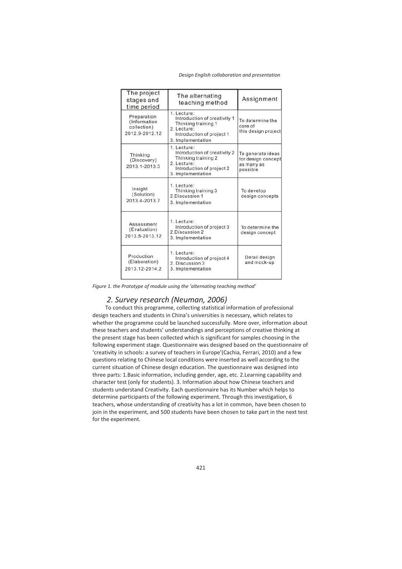| The project<br>stages and<br>time period                     | The alternating<br>teaching method                                                                                                  | Assignment                                                        |
|--------------------------------------------------------------|-------------------------------------------------------------------------------------------------------------------------------------|-------------------------------------------------------------------|
| Preparation<br>(Information<br>collection)<br>2012.9-2012.12 | 1. Lecture:<br>Introduction of creativity 1<br>Thinking training 1<br>2. Lecture:<br>Introduction of project 1<br>3. Implementation | To determine the<br>core of<br>this design project                |
| Thinking<br>(Discovery)<br>2013.1-2013.3                     | 1. Lecture:<br>Introduction of creativity 2<br>Thinking training 2<br>2. Lecture:<br>Introduction of project 2<br>3. Implementation | To generate ideas<br>for design concept<br>as many as<br>possible |
| Insight<br>(Solution)<br>2013.4-2013.7                       | 1. Lecture:<br>Thinking training 3<br>2. Discussion 1<br>3. Implementation                                                          | To develop<br>design concepts                                     |
| Assessment<br>(Evaluation)<br>2013.8-2013.12                 | 1. Lecture:<br>Introduction of project 3<br>2. Discussion 2<br>3. Implementation                                                    | To determine the<br>design concept                                |
| Production<br>(Elaboration)<br>2013.12-2014.2                | 1. Lecture:<br>Introduction of project 4<br>2. Discussion 3<br>3. Implementation                                                    | Detail design<br>and mock-up                                      |

*Figure 1. the Prototype of module using the 'alternating teaching method'* 

## *2. Survey research (Neuman, 2006)*

 To conduct this programme, collecting statistical information of professional design teachers and students in China's universities is necessary, which relates to whether the programme could be launched successfully. More over, information about these teachers and students' understandings and perceptions of creative thinking at the present stage has been collected which is significant for samples choosing in the following experiment stage. Questionnaire was designed based on the questionnaire of 'creativity in schools: a survey of teachers in Europe'(Cachia, Ferrari, 2010) and a few questions relating to Chinese local conditions were inserted as well according to the current situation of Chinese design education. The questionnaire was designed into three parts: 1.Basic information, including gender, age, etc. 2.Learning capability and character test (only for students). 3. Information about how Chinese teachers and students understand Creativity. Each questionnaire has its Number which helps to determine participants of the following experiment. Through this investigation, 6 teachers, whose understanding of creativity has a lot in common, have been chosen to join in the experiment, and 500 students have been chosen to take part in the next test for the experiment.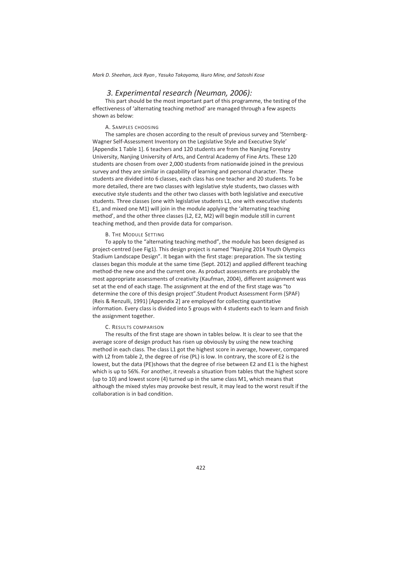## *3. Experimental research (Neuman, 2006):*

 This part should be the most important part of this programme, the testing of the effectiveness of 'alternating teaching method' are managed through a few aspects shown as below:

#### A. SAMPLES CHOOSING

 The samples are chosen according to the result of previous survey and 'Sternberg-Wagner Self-Assessment Inventory on the Legislative Style and Executive Style' [Appendix 1 Table 1]. 6 teachers and 120 students are from the Nanjing Forestry University, Nanjing University of Arts, and Central Academy of Fine Arts. These 120 students are chosen from over 2,000 students from nationwide joined in the previous survey and they are similar in capability of learning and personal character. These students are divided into 6 classes, each class has one teacher and 20 students. To be more detailed, there are two classes with legislative style students, two classes with executive style students and the other two classes with both legislative and executive students. Three classes (one with legislative students L1, one with executive students E1, and mixed one M1) will join in the module applying the 'alternating teaching method', and the other three classes (L2, E2, M2) will begin module still in current teaching method, and then provide data for comparison.

#### B. THE MODULE SETTING

 To apply to the "alternating teaching method", the module has been designed as project-centred (see Fig1). This design project is named "Nanjing 2014 Youth Olympics Stadium Landscape Design". It began with the first stage: preparation. The six testing classes began this module at the same time (Sept. 2012) and applied different teaching method-the new one and the current one. As product assessments are probably the most appropriate assessments of creativity (Kaufman, 2004), different assignment was set at the end of each stage. The assignment at the end of the first stage was "to determine the core of this design project".Student Product Assessment Form (SPAF) (Reis & Renzulli, 1991) [Appendix 2] are employed for collecting quantitative information. Every class is divided into 5 groups with 4 students each to learn and finish the assignment together.

#### C. RESULTS COMPARISON

 The results of the first stage are shown in tables below. It is clear to see that the average score of design product has risen up obviously by using the new teaching method in each class. The class L1 got the highest score in average, however, compared with L2 from table 2, the degree of rise (PL) is low. In contrary, the score of E2 is the lowest, but the data (PE)shows that the degree of rise between E2 and E1 is the highest which is up to 56%. For another, it reveals a situation from tables that the highest score (up to 10) and lowest score (4) turned up in the same class M1, which means that although the mixed styles may provoke best result, it may lead to the worst result if the collaboration is in bad condition.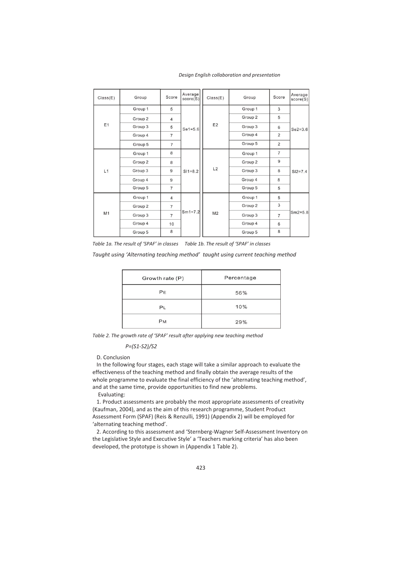#### *Design English collaboration and presentation*

| Class(E) | Group   | Score          | Average<br>score(S) | Class(E)       | Group   | Score          | Average<br>score(S) |   |  |
|----------|---------|----------------|---------------------|----------------|---------|----------------|---------------------|---|--|
|          | Group 1 | 5              |                     |                | Group 1 | 3              |                     |   |  |
|          | Group 2 | $\overline{4}$ |                     |                | Group 2 | 5              |                     |   |  |
| E1       | Group 3 | 5              | $Se1 = 5.6$         | E <sub>2</sub> | Group 3 | 6              | $Se2 = 3.6$         |   |  |
|          | Group 4 | $\overline{7}$ |                     |                | Group 4 | $\overline{2}$ |                     |   |  |
|          | Group 5 | $\overline{7}$ |                     |                | Group 5 | $\overline{2}$ |                     |   |  |
|          | Group 1 | 8              |                     |                | Group 1 | $\overline{7}$ |                     |   |  |
|          | Group 2 | 8              |                     |                | Group 2 | $\overline{9}$ |                     |   |  |
| L1       | Group 3 | 9              | $SI1 = 8.2$         | L2             | Group 3 | 8              | $SI2 = 7.4$         |   |  |
|          | Group 4 | 9              |                     |                | Group 4 | 8              |                     |   |  |
|          | Group 5 | $\overline{7}$ |                     |                | Group 5 | 5              |                     |   |  |
|          | Group 1 | $\overline{4}$ |                     |                |         |                | Group 1             | 5 |  |
|          | Group 2 | $\overline{7}$ |                     |                |         | Group 2        | 3                   |   |  |
| M1       | Group 3 | $\overline{7}$ | $Sm1 = 7.2$         | M <sub>2</sub> | Group 3 | $\overline{7}$ | $Sm2=5.8$           |   |  |
|          | Group 4 | 10             |                     |                | Group 4 | 6              |                     |   |  |
|          | Group 5 | 8              |                     |                | Group 5 | 8              |                     |   |  |

*Table 1a. The result of 'SPAF' in classes Table 1b. The result of 'SPAF' in classes* 

*Taught using 'Alternating teaching method' taught using current teaching method*

| Growth rate (P) | Percentage |
|-----------------|------------|
| PE              | 56%        |
| P <sub>L</sub>  | 10%        |
| <b>PM</b>       | 29%        |

*Table 2. The growth rate of 'SPAF' result after applying new teaching method* 

 *P=(S1-S2)/S2* 

D. Conclusion

 In the following four stages, each stage will take a similar approach to evaluate the effectiveness of the teaching method and finally obtain the average results of the whole programme to evaluate the final efficiency of the 'alternating teaching method', and at the same time, provide opportunities to find new problems.

Evaluating:

 1. Product assessments are probably the most appropriate assessments of creativity (Kaufman, 2004), and as the aim of this research programme, Student Product Assessment Form (SPAF) (Reis & Renzulli, 1991) (Appendix 2) will be employed for 'alternating teaching method'.

 2. According to this assessment and 'Sternberg-Wagner Self-Assessment Inventory on the Legislative Style and Executive Style' a 'Teachers marking criteria' has also been developed, the prototype is shown in (Appendix 1 Table 2).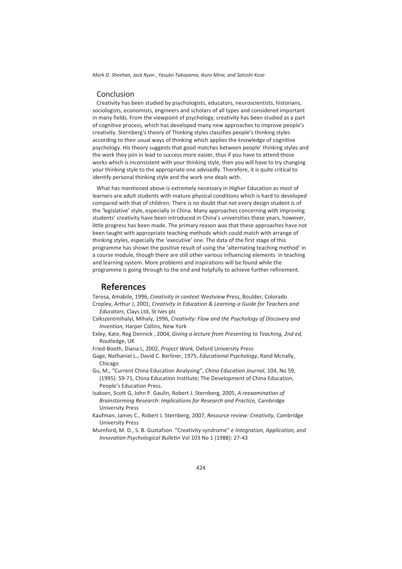## Conclusion

 Creativity has been studied by psychologists, educators, neuroscientists, historians, sociologists, economists, engineers and scholars of all types and considered important in many fields. From the viewpoint of psychology, creativity has been studied as a part of cognitive process, which has developed many new approaches to improve people's creativity. Sternberg's theory of Thinking styles classifies people's thinking styles according to their usual ways of thinking which applies the knowledge of cognitive psychology. His theory suggests that good matches between people' thinking styles and the work they join in lead to success more easier, thus if you have to attend those works which is inconsistent with your thinking style, then you will have to try changing your thinking style to the appropriate one advisedly. Therefore, it is quite critical to identify personal thinking style and the work one deals with.

 What has mentioned above is extremely necessary in Higher Education as most of learners are adult students with mature physical conditions which is hard to developed compared with that of children. There is no doubt that not every design student is of the 'legislative' style, especially in China. Many approaches concerning with improving students' creativity have been introduced in China's universities these years, however, little progress has been made. The primary reason was that these approaches have not been taught with appropriate teaching methods which could match with arrange of thinking styles, especially the 'executive' one. The data of the first stage of this programme has shown the positive result of using the 'alternating teaching method' in a course module, though there are still other various influencing elements in teaching and learning system. More problems and inspirations will be found while the programme is going through to the end and helpfully to achieve further refinement.

## **References**

Teresa, Amabile, 1996, *Creativity in context* Westview Press, Boulder, Colorado Cropley, Arthur J, 2001, *Creativity in Education & Learning-a Guide for Teachers and Educators*, Clays Ltd, St Ives plc

- Csikszentmihalyi, Mihaly, 1996, *Creativity: Flow and the Psychology of Discovery and Invention,* Harper Collins, New York
- Exley, Kate, Reg Dennick , 2004, *Giving a lecture from Presenting to Teaching, 2nd ed,* Routledge, UK
- Fried-Booth, Diana L, 2002, *Project Work,* Oxford University Press
- Gage, Nathaniel L., David C. Berliner, 1975, *Educational Psychology*, Rand Mcnally, Chicago
- Gu, M., "Current China Education Analysing", *China Education Journal*, 104, No 59, (1995): 59-71, China Education Institute; The Development of China Education, People's Education Press.
- Isaksen, Scott G, John P. Gaulin, Robert J. Sternberg, 2005, *A reexamination of Brainstorming Research: Implications for Research and Practice,* Cambridge University Press
- Kaufman, James C., Robert J. Sternberg, 2007, *Resource review: Creativity,* Cambridge University Press
- Mumford, M. D., S. B. Gustafson "Creativity syndrome" *e Integration, Application, and Innovation Psychological Bulletin* Vol 103 No 1 (1988): 27-43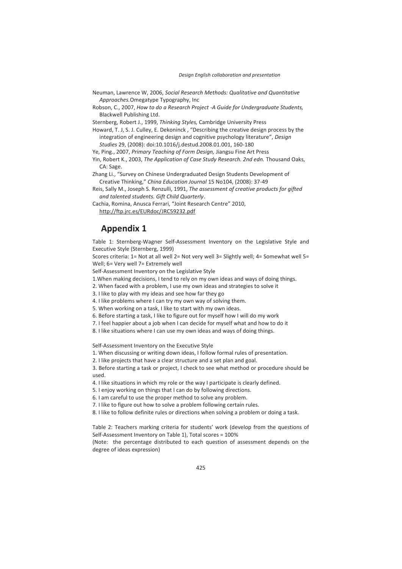- Neuman, Lawrence W, 2006, *Social Research Methods: Qualitative and Quantitative Approaches.*Omegatype Typography, Inc
- Robson, C., 2007, *How to do a Research Project -A Guide for Undergraduate Students,* Blackwell Publishing Ltd.

Sternberg, Robert J., 1999, *Thinking Styles,* Cambridge University Press

Howard, T. J, S. J. Culley, E. Dekoninck , "Describing the creative design process by the integration of engineering design and cognitive psychology literature", *Design Studies* 29, (2008): doi:10.1016/j.destud.2008.01.001, 160-180

Ye, Ping., 2007, *Primary Teaching of Form Design,* Jiangsu Fine Art Press

Yin, Robert K., 2003, *The Application of Case Study Research. 2nd edn.* Thousand Oaks, CA: Sage.

Zhang Li., "Survey on Chinese Undergraduated Design Students Development of Creative Thinking," *China Education Journal* 15 No104, (2008): 37-49

Reis, Sally M., Joseph S. Renzulli, 1991, *The assessment of creative products for gifted and talented students. Gift Child Quarterly*.

Cachia, Romina, Anusca Ferrari, "Joint Research Centre" 2010, http://ftp.jrc.es/EURdoc/JRC59232.pdf

## **Appendix 1**

Table 1: Sternberg-Wagner Self-Assessment Inventory on the Legislative Style and Executive Style (Sternberg, 1999)

Scores criteria: 1= Not at all well 2= Not very well 3= Slightly well; 4= Somewhat well 5= Well; 6= Very well 7= Extremely well

Self-Assessment Inventory on the Legislative Style

- 1.When making decisions, I tend to rely on my own ideas and ways of doing things.
- 2. When faced with a problem, I use my own ideas and strategies to solve it
- 3. I like to play with my ideas and see how far they go
- 4. I like problems where I can try my own way of solving them.
- 5. When working on a task, I like to start with my own ideas.
- 6. Before starting a task, I like to figure out for myself how I will do my work
- 7. I feel happier about a job when I can decide for myself what and how to do it
- 8. I like situations where I can use my own ideas and ways of doing things.

Self-Assessment Inventory on the Executive Style

- 1. When discussing or writing down ideas, I follow formal rules of presentation.
- 2. I like projects that have a clear structure and a set plan and goal.

3. Before starting a task or project, I check to see what method or procedure should be used.

- 4. I like situations in which my role or the way I participate is clearly defined.
- 5. I enjoy working on things that I can do by following directions.
- 6. I am careful to use the proper method to solve any problem.
- 7. I like to figure out how to solve a problem following certain rules.
- 8. I like to follow definite rules or directions when solving a problem or doing a task.

Table 2: Teachers marking criteria for students' work (develop from the questions of Self-Assessment Inventory on Table 1), Total scores = 100%

(Note: the percentage distributed to each question of assessment depends on the degree of ideas expression)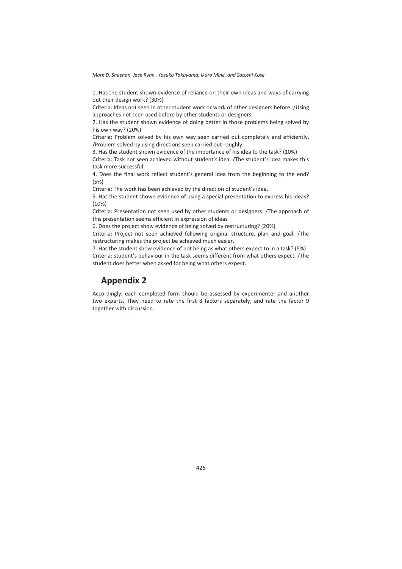1. Has the student shown evidence of reliance on their own ideas and ways of carrying out their design work? (30%)

Criteria: Ideas not seen in other student work or work of other designers before. /Using approaches not seen used before by other students or designers.

2. Has the student shown evidence of doing better in those problems being solved by his own way? (20%)

Criteria; Problem solved by his own way seen carried out completely and efficiently. /Problem solved by using directions seen carried out roughly.

3. Has the student shown evidence of the importance of his idea to the task? (10%)

Criteria: Task not seen achieved without student's idea. /The student's idea makes this task more successful.

4. Does the final work reflect student's general idea from the beginning to the end? (5%)

Criteria: The work has been achieved by the direction of student's idea.

5. Has the student shown evidence of using a special presentation to express his ideas? (10%)

Criteria: Presentation not seen used by other students or designers. /The approach of this presentation seems efficient in expression of ideas

6. Does the project show evidence of being solved by restructuring? (20%)

Criteria: Project not seen achieved following original structure, plan and goal. /The restructuring makes the project be achieved much easier.

7. Has the student show evidence of not being as what others expect to in a task? (5%) Criteria: student's behaviour in the task seems different from what others expect. /The student does better when asked for being what others expect.

# **Appendix 2**

Accordingly, each completed form should be assessed by experimenter and another two experts. They need to rate the first 8 factors separately, and rate the factor 9 together with discussion.